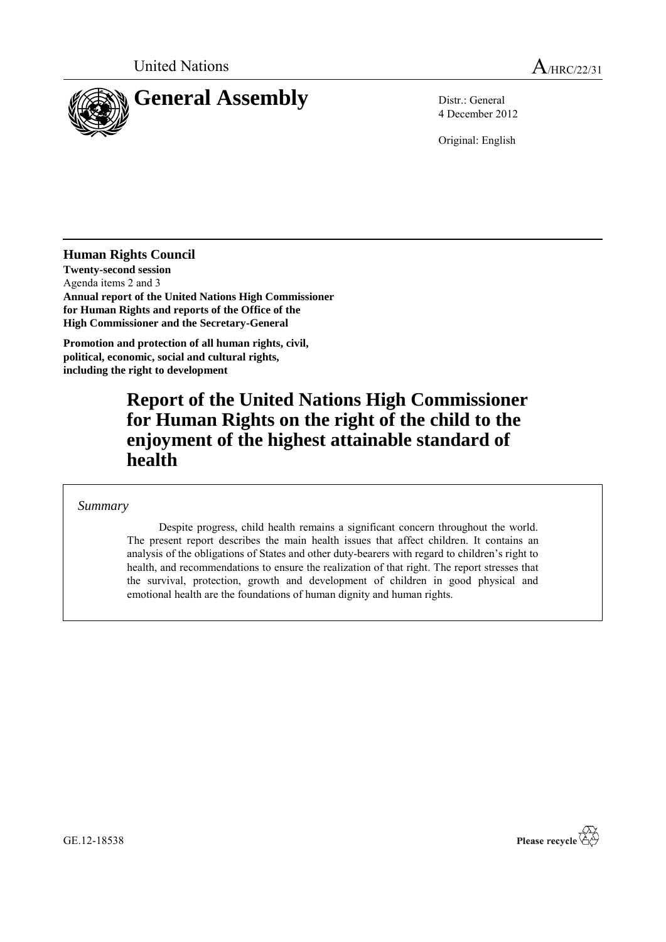

4 December 2012

Original: English

**Human Rights Council**

**Twenty-second session** Agenda items 2 and 3 **Annual report of the United Nations High Commissioner for Human Rights and reports of the Office of the High Commissioner and the Secretary-General**

**Promotion and protection of all human rights, civil, political, economic, social and cultural rights, including the right to development**

# **Report of the United Nations High Commissioner for Human Rights on the right of the child to the enjoyment of the highest attainable standard of health**

### *Summary*

Despite progress, child health remains a significant concern throughout the world. The present report describes the main health issues that affect children. It contains an analysis of the obligations of States and other duty-bearers with regard to children's right to health, and recommendations to ensure the realization of that right. The report stresses that the survival, protection, growth and development of children in good physical and emotional health are the foundations of human dignity and human rights.



GE.12-18538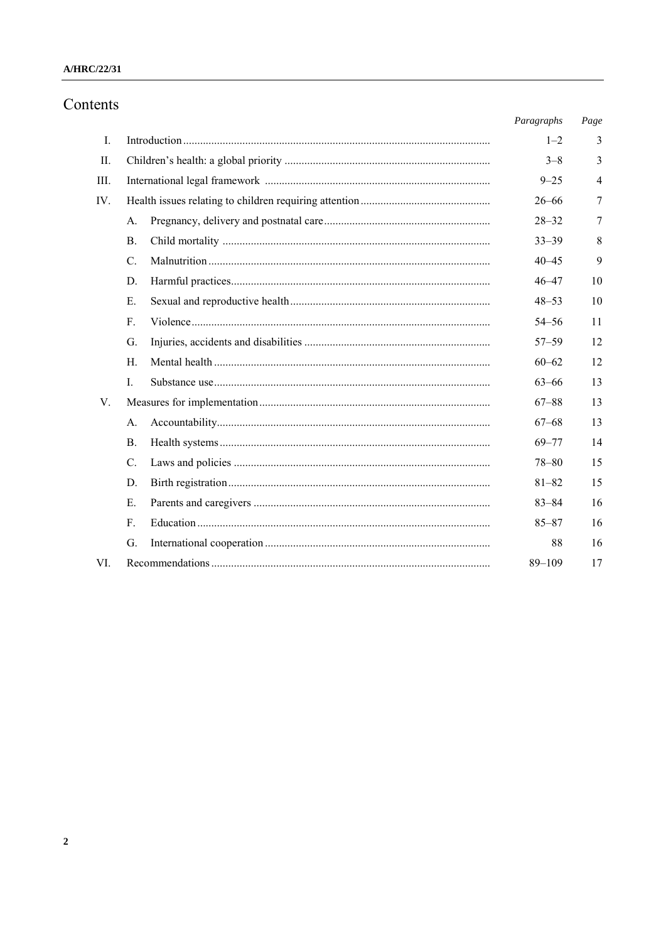### A/HRC/22/31

# Contents

|                |                | Paragraphs | Page |
|----------------|----------------|------------|------|
| $\mathbf{I}$ . |                | $1 - 2$    | 3    |
| II.            |                | $3 - 8$    | 3    |
| Ш.             |                | $9 - 25$   | 4    |
| IV.            |                | $26 - 66$  | 7    |
|                | A.             | $28 - 32$  | 7    |
|                | $\mathbf{B}$ . | $33 - 39$  | 8    |
|                | $C_{\cdot}$    | $40 - 45$  | 9    |
|                | D.             | $46 - 47$  | 10   |
|                | E.             | $48 - 53$  | 10   |
|                | $F_{\cdot}$    | $54 - 56$  | 11   |
|                | G.             | $57 - 59$  | 12   |
|                | $H_{\cdot}$    | $60 - 62$  | 12   |
|                | $\mathbf{I}$ . | $63 - 66$  | 13   |
| $V_{\cdot}$    |                | $67 - 88$  | 13   |
|                | A.             | $67 - 68$  | 13   |
|                | <b>B</b> .     | $69 - 77$  | 14   |
|                | C.             | $78 - 80$  | 15   |
|                | D.             | $81 - 82$  | 15   |
|                | $E_{\rm c}$    | $83 - 84$  | 16   |
|                | $F_{\cdot}$    | $85 - 87$  | 16   |
|                | G.             | 88         | 16   |
| VI.            |                | $89 - 109$ | 17   |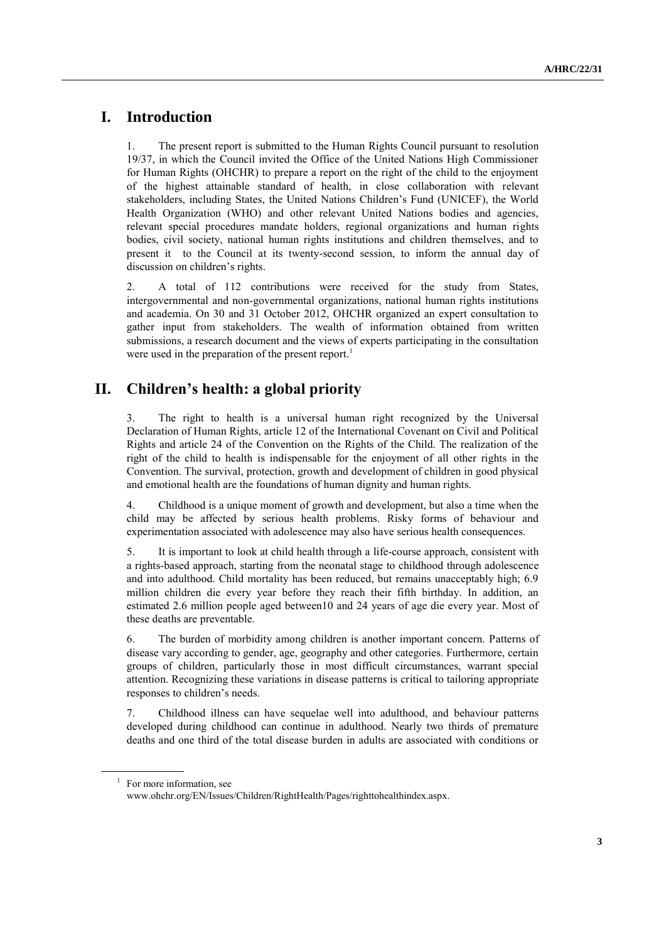# **I. Introduction**

1. The present report is submitted to the Human Rights Council pursuant to resolution 19/37, in which the Council invited the Office of the United Nations High Commissioner for Human Rights (OHCHR) to prepare a report on the right of the child to the enjoyment of the highest attainable standard of health, in close collaboration with relevant stakeholders, including States, the United Nations Children's Fund (UNICEF), the World Health Organization (WHO) and other relevant United Nations bodies and agencies, relevant special procedures mandate holders, regional organizations and human rights bodies, civil society, national human rights institutions and children themselves, and to present it to the Council at its twenty-second session, to inform the annual day of discussion on children's rights.

2. A total of 112 contributions were received for the study from States, intergovernmental and non-governmental organizations, national human rights institutions and academia. On 30 and 31 October 2012, OHCHR organized an expert consultation to gather input from stakeholders. The wealth of information obtained from written submissions, a research document and the views of experts participating in the consultation were used in the preparation of the present report.<sup>1</sup>

# **II. Children's health: a global priority**

3. The right to health is a universal human right recognized by the Universal Declaration of Human Rights, article 12 of the International Covenant on Civil and Political Rights and article 24 of the Convention on the Rights of the Child. The realization of the right of the child to health is indispensable for the enjoyment of all other rights in the Convention. The survival, protection, growth and development of children in good physical and emotional health are the foundations of human dignity and human rights.

4. Childhood is a unique moment of growth and development, but also a time when the child may be affected by serious health problems. Risky forms of behaviour and experimentation associated with adolescence may also have serious health consequences.

5. It is important to look at child health through a life-course approach, consistent with a rights-based approach, starting from the neonatal stage to childhood through adolescence and into adulthood. Child mortality has been reduced, but remains unacceptably high; 6.9 million children die every year before they reach their fifth birthday. In addition, an estimated 2.6 million people aged between10 and 24 years of age die every year. Most of these deaths are preventable.

6. The burden of morbidity among children is another important concern. Patterns of disease vary according to gender, age, geography and other categories. Furthermore, certain groups of children, particularly those in most difficult circumstances, warrant special attention. Recognizing these variations in disease patterns is critical to tailoring appropriate responses to children's needs.

7. Childhood illness can have sequelae well into adulthood, and behaviour patterns developed during childhood can continue in adulthood. Nearly two thirds of premature deaths and one third of the total disease burden in adults are associated with conditions or

<sup>&</sup>lt;sup>1</sup> For more information, see www.ohchr.org/EN/Issues/Children/RightHealth/Pages/righttohealthindex.aspx.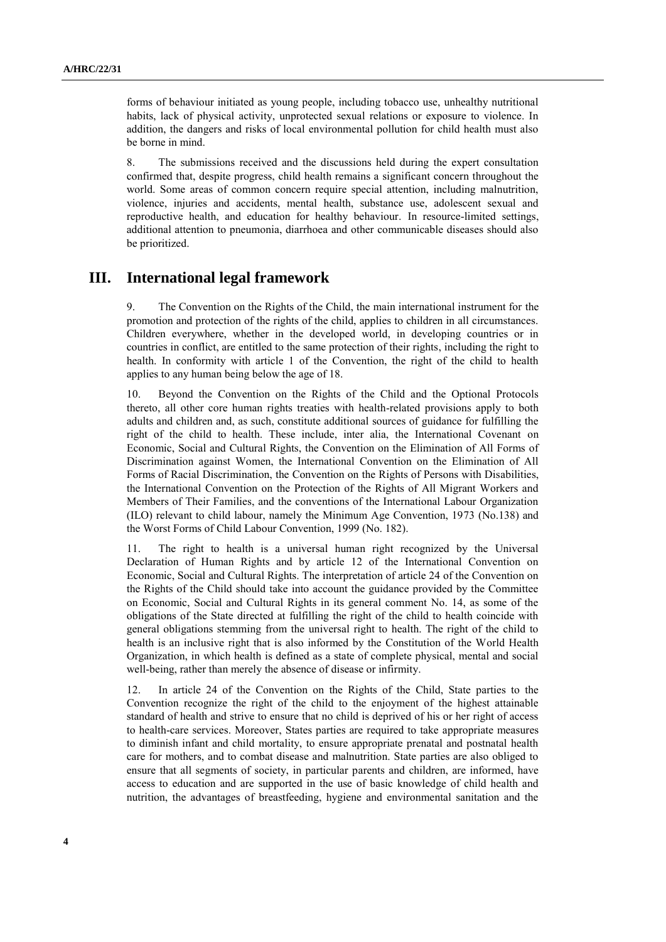forms of behaviour initiated as young people, including tobacco use, unhealthy nutritional habits, lack of physical activity, unprotected sexual relations or exposure to violence. In addition, the dangers and risks of local environmental pollution for child health must also be borne in mind.

8. The submissions received and the discussions held during the expert consultation confirmed that, despite progress, child health remains a significant concern throughout the world. Some areas of common concern require special attention, including malnutrition, violence, injuries and accidents, mental health, substance use, adolescent sexual and reproductive health, and education for healthy behaviour. In resource-limited settings, additional attention to pneumonia, diarrhoea and other communicable diseases should also be prioritized.

### **III. International legal framework**

9. The Convention on the Rights of the Child, the main international instrument for the promotion and protection of the rights of the child, applies to children in all circumstances. Children everywhere, whether in the developed world, in developing countries or in countries in conflict, are entitled to the same protection of their rights, including the right to health. In conformity with article 1 of the Convention, the right of the child to health applies to any human being below the age of 18.

10. Beyond the Convention on the Rights of the Child and the Optional Protocols thereto, all other core human rights treaties with health-related provisions apply to both adults and children and, as such, constitute additional sources of guidance for fulfilling the right of the child to health. These include, inter alia, the International Covenant on Economic, Social and Cultural Rights, the Convention on the Elimination of All Forms of Discrimination against Women, the International Convention on the Elimination of All Forms of Racial Discrimination, the Convention on the Rights of Persons with Disabilities, the International Convention on the Protection of the Rights of All Migrant Workers and Members of Their Families, and the conventions of the International Labour Organization (ILO) relevant to child labour, namely the Minimum Age Convention, 1973 (No.138) and the Worst Forms of Child Labour Convention, 1999 (No. 182).

11. The right to health is a universal human right recognized by the Universal Declaration of Human Rights and by article 12 of the International Convention on Economic, Social and Cultural Rights. The interpretation of article 24 of the Convention on the Rights of the Child should take into account the guidance provided by the Committee on Economic, Social and Cultural Rights in its general comment No. 14, as some of the obligations of the State directed at fulfilling the right of the child to health coincide with general obligations stemming from the universal right to health. The right of the child to health is an inclusive right that is also informed by the Constitution of the World Health Organization, in which health is defined as a state of complete physical, mental and social well-being, rather than merely the absence of disease or infirmity.

12. In article 24 of the Convention on the Rights of the Child, State parties to the Convention recognize the right of the child to the enjoyment of the highest attainable standard of health and strive to ensure that no child is deprived of his or her right of access to health-care services. Moreover, States parties are required to take appropriate measures to diminish infant and child mortality, to ensure appropriate prenatal and postnatal health care for mothers, and to combat disease and malnutrition. State parties are also obliged to ensure that all segments of society, in particular parents and children, are informed, have access to education and are supported in the use of basic knowledge of child health and nutrition, the advantages of breastfeeding, hygiene and environmental sanitation and the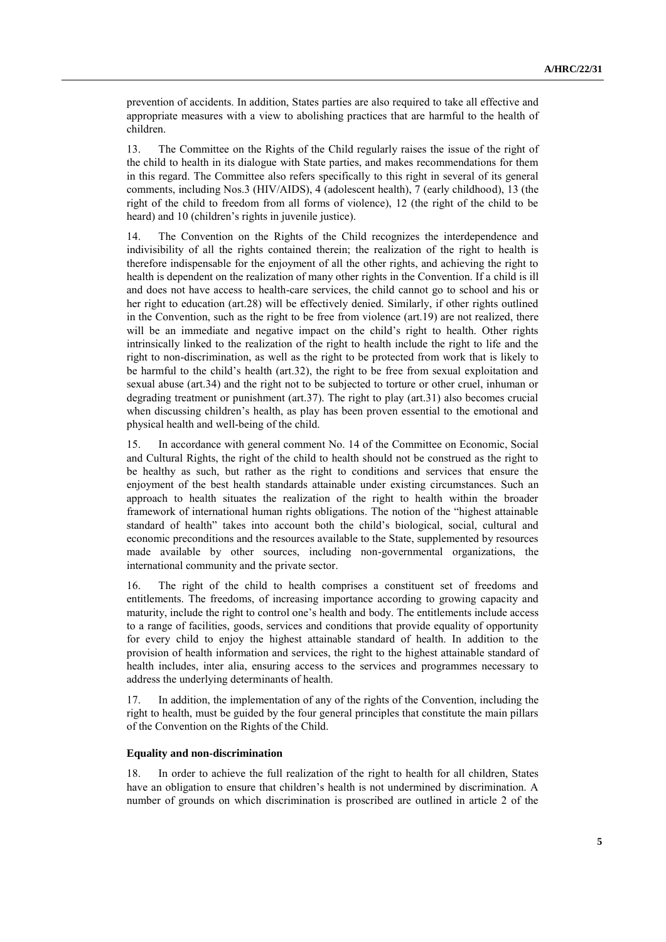prevention of accidents. In addition, States parties are also required to take all effective and appropriate measures with a view to abolishing practices that are harmful to the health of children.

13. The Committee on the Rights of the Child regularly raises the issue of the right of the child to health in its dialogue with State parties, and makes recommendations for them in this regard. The Committee also refers specifically to this right in several of its general comments, including Nos.3 (HIV/AIDS), 4 (adolescent health), 7 (early childhood), 13 (the right of the child to freedom from all forms of violence), 12 (the right of the child to be heard) and 10 (children's rights in juvenile justice).

14. The Convention on the Rights of the Child recognizes the interdependence and indivisibility of all the rights contained therein; the realization of the right to health is therefore indispensable for the enjoyment of all the other rights, and achieving the right to health is dependent on the realization of many other rights in the Convention. If a child is ill and does not have access to health-care services, the child cannot go to school and his or her right to education (art.28) will be effectively denied. Similarly, if other rights outlined in the Convention, such as the right to be free from violence (art.19) are not realized, there will be an immediate and negative impact on the child's right to health. Other rights intrinsically linked to the realization of the right to health include the right to life and the right to non-discrimination, as well as the right to be protected from work that is likely to be harmful to the child's health (art.32), the right to be free from sexual exploitation and sexual abuse (art.34) and the right not to be subjected to torture or other cruel, inhuman or degrading treatment or punishment (art.37). The right to play (art.31) also becomes crucial when discussing children's health, as play has been proven essential to the emotional and physical health and well-being of the child.

15. In accordance with general comment No. 14 of the Committee on Economic, Social and Cultural Rights, the right of the child to health should not be construed as the right to be healthy as such, but rather as the right to conditions and services that ensure the enjoyment of the best health standards attainable under existing circumstances. Such an approach to health situates the realization of the right to health within the broader framework of international human rights obligations. The notion of the "highest attainable standard of health" takes into account both the child's biological, social, cultural and economic preconditions and the resources available to the State, supplemented by resources made available by other sources, including non-governmental organizations, the international community and the private sector.

16. The right of the child to health comprises a constituent set of freedoms and entitlements. The freedoms, of increasing importance according to growing capacity and maturity, include the right to control one's health and body. The entitlements include access to a range of facilities, goods, services and conditions that provide equality of opportunity for every child to enjoy the highest attainable standard of health. In addition to the provision of health information and services, the right to the highest attainable standard of health includes, inter alia, ensuring access to the services and programmes necessary to address the underlying determinants of health.

17. In addition, the implementation of any of the rights of the Convention, including the right to health, must be guided by the four general principles that constitute the main pillars of the Convention on the Rights of the Child.

#### **Equality and non-discrimination**

18. In order to achieve the full realization of the right to health for all children, States have an obligation to ensure that children's health is not undermined by discrimination. A number of grounds on which discrimination is proscribed are outlined in article 2 of the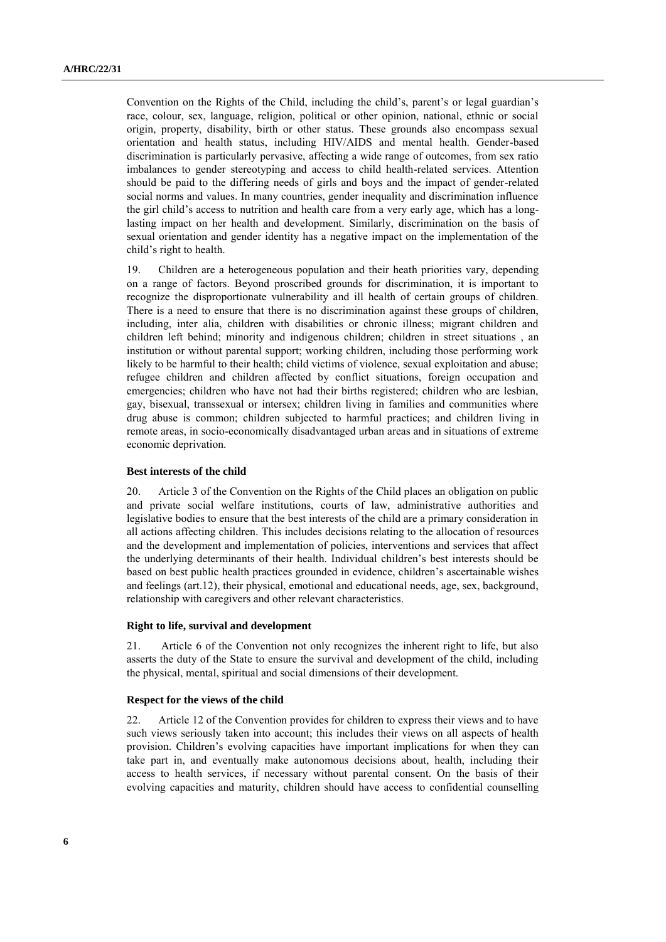Convention on the Rights of the Child, including the child's, parent's or legal guardian's race, colour, sex, language, religion, political or other opinion, national, ethnic or social origin, property, disability, birth or other status. These grounds also encompass sexual orientation and health status, including HIV/AIDS and mental health. Gender-based discrimination is particularly pervasive, affecting a wide range of outcomes, from sex ratio imbalances to gender stereotyping and access to child health-related services. Attention should be paid to the differing needs of girls and boys and the impact of gender-related social norms and values. In many countries, gender inequality and discrimination influence the girl child's access to nutrition and health care from a very early age, which has a longlasting impact on her health and development. Similarly, discrimination on the basis of sexual orientation and gender identity has a negative impact on the implementation of the child's right to health.

19. Children are a heterogeneous population and their heath priorities vary, depending on a range of factors. Beyond proscribed grounds for discrimination, it is important to recognize the disproportionate vulnerability and ill health of certain groups of children. There is a need to ensure that there is no discrimination against these groups of children, including, inter alia, children with disabilities or chronic illness; migrant children and children left behind; minority and indigenous children; children in street situations , an institution or without parental support; working children, including those performing work likely to be harmful to their health; child victims of violence, sexual exploitation and abuse; refugee children and children affected by conflict situations, foreign occupation and emergencies; children who have not had their births registered; children who are lesbian, gay, bisexual, transsexual or intersex; children living in families and communities where drug abuse is common; children subjected to harmful practices; and children living in remote areas, in socio-economically disadvantaged urban areas and in situations of extreme economic deprivation.

#### **Best interests of the child**

20. Article 3 of the Convention on the Rights of the Child places an obligation on public and private social welfare institutions, courts of law, administrative authorities and legislative bodies to ensure that the best interests of the child are a primary consideration in all actions affecting children. This includes decisions relating to the allocation of resources and the development and implementation of policies, interventions and services that affect the underlying determinants of their health. Individual children's best interests should be based on best public health practices grounded in evidence, children's ascertainable wishes and feelings (art.12), their physical, emotional and educational needs, age, sex, background, relationship with caregivers and other relevant characteristics.

#### **Right to life, survival and development**

21. Article 6 of the Convention not only recognizes the inherent right to life, but also asserts the duty of the State to ensure the survival and development of the child, including the physical, mental, spiritual and social dimensions of their development.

#### **Respect for the views of the child**

22. Article 12 of the Convention provides for children to express their views and to have such views seriously taken into account; this includes their views on all aspects of health provision. Children's evolving capacities have important implications for when they can take part in, and eventually make autonomous decisions about, health, including their access to health services, if necessary without parental consent. On the basis of their evolving capacities and maturity, children should have access to confidential counselling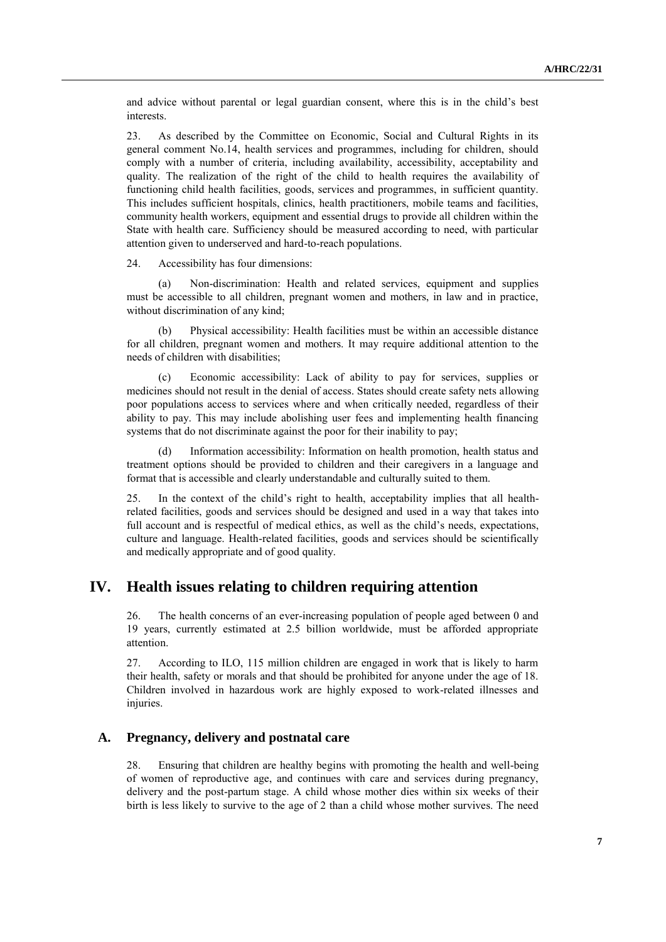and advice without parental or legal guardian consent, where this is in the child's best interests.

23. As described by the Committee on Economic, Social and Cultural Rights in its general comment No.14, health services and programmes, including for children, should comply with a number of criteria, including availability, accessibility, acceptability and quality. The realization of the right of the child to health requires the availability of functioning child health facilities, goods, services and programmes, in sufficient quantity. This includes sufficient hospitals, clinics, health practitioners, mobile teams and facilities, community health workers, equipment and essential drugs to provide all children within the State with health care. Sufficiency should be measured according to need, with particular attention given to underserved and hard-to-reach populations.

24. Accessibility has four dimensions:

(a) Non-discrimination: Health and related services, equipment and supplies must be accessible to all children, pregnant women and mothers, in law and in practice, without discrimination of any kind;

(b) Physical accessibility: Health facilities must be within an accessible distance for all children, pregnant women and mothers. It may require additional attention to the needs of children with disabilities;

(c) Economic accessibility: Lack of ability to pay for services, supplies or medicines should not result in the denial of access. States should create safety nets allowing poor populations access to services where and when critically needed, regardless of their ability to pay. This may include abolishing user fees and implementing health financing systems that do not discriminate against the poor for their inability to pay;

(d) Information accessibility: Information on health promotion, health status and treatment options should be provided to children and their caregivers in a language and format that is accessible and clearly understandable and culturally suited to them.

25. In the context of the child's right to health, acceptability implies that all healthrelated facilities, goods and services should be designed and used in a way that takes into full account and is respectful of medical ethics, as well as the child's needs, expectations, culture and language. Health-related facilities, goods and services should be scientifically and medically appropriate and of good quality.

### **IV. Health issues relating to children requiring attention**

26. The health concerns of an ever-increasing population of people aged between 0 and 19 years, currently estimated at 2.5 billion worldwide, must be afforded appropriate attention.

27. According to ILO, 115 million children are engaged in work that is likely to harm their health, safety or morals and that should be prohibited for anyone under the age of 18. Children involved in hazardous work are highly exposed to work-related illnesses and injuries.

#### **A. Pregnancy, delivery and postnatal care**

28. Ensuring that children are healthy begins with promoting the health and well-being of women of reproductive age, and continues with care and services during pregnancy, delivery and the post-partum stage. A child whose mother dies within six weeks of their birth is less likely to survive to the age of 2 than a child whose mother survives. The need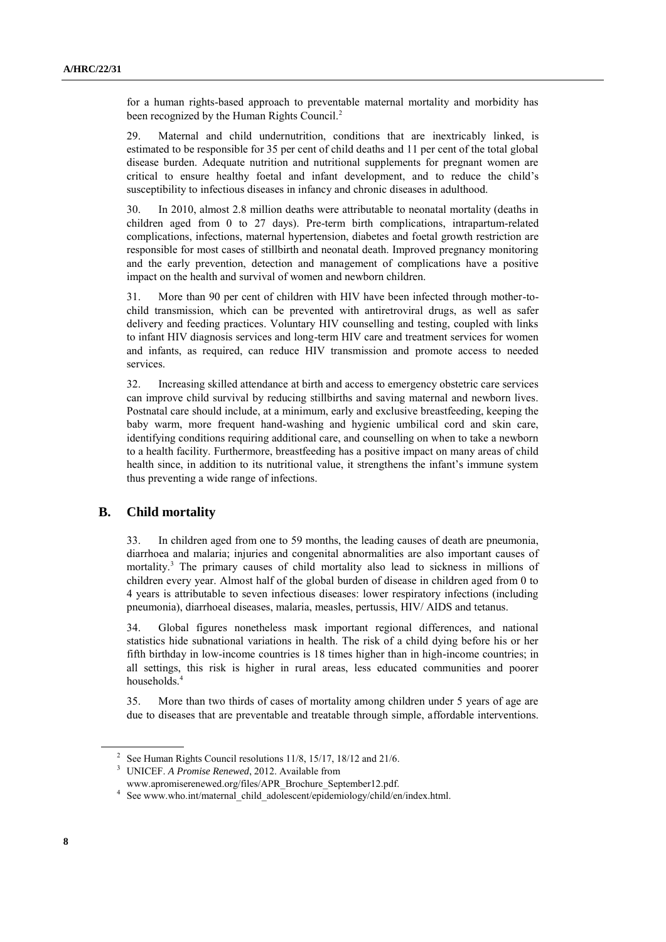for a human rights-based approach to preventable maternal mortality and morbidity has been recognized by the Human Rights Council.<sup>2</sup>

29. Maternal and child undernutrition, conditions that are inextricably linked, is estimated to be responsible for 35 per cent of child deaths and 11 per cent of the total global disease burden. Adequate nutrition and nutritional supplements for pregnant women are critical to ensure healthy foetal and infant development, and to reduce the child's susceptibility to infectious diseases in infancy and chronic diseases in adulthood.

30. In 2010, almost 2.8 million deaths were attributable to neonatal mortality (deaths in children aged from 0 to 27 days). Pre-term birth complications, intrapartum-related complications, infections, maternal hypertension, diabetes and foetal growth restriction are responsible for most cases of stillbirth and neonatal death. Improved pregnancy monitoring and the early prevention, detection and management of complications have a positive impact on the health and survival of women and newborn children.

31. More than 90 per cent of children with HIV have been infected through mother-tochild transmission, which can be prevented with antiretroviral drugs, as well as safer delivery and feeding practices. Voluntary HIV counselling and testing, coupled with links to infant HIV diagnosis services and long-term HIV care and treatment services for women and infants, as required, can reduce HIV transmission and promote access to needed services.

32. Increasing skilled attendance at birth and access to emergency obstetric care services can improve child survival by reducing stillbirths and saving maternal and newborn lives. Postnatal care should include, at a minimum, early and exclusive breastfeeding, keeping the baby warm, more frequent hand-washing and hygienic umbilical cord and skin care, identifying conditions requiring additional care, and counselling on when to take a newborn to a health facility. Furthermore, breastfeeding has a positive impact on many areas of child health since, in addition to its nutritional value, it strengthens the infant's immune system thus preventing a wide range of infections.

#### **B. Child mortality**

33. In children aged from one to 59 months, the leading causes of death are pneumonia, diarrhoea and malaria; injuries and congenital abnormalities are also important causes of mortality.<sup>3</sup> The primary causes of child mortality also lead to sickness in millions of children every year. Almost half of the global burden of disease in children aged from 0 to 4 years is attributable to seven infectious diseases: lower respiratory infections (including pneumonia), diarrhoeal diseases, malaria, measles, pertussis, HIV/ AIDS and tetanus.

34. Global figures nonetheless mask important regional differences, and national statistics hide subnational variations in health. The risk of a child dying before his or her fifth birthday in low-income countries is 18 times higher than in high-income countries; in all settings, this risk is higher in rural areas, less educated communities and poorer households.<sup>4</sup>

35. More than two thirds of cases of mortality among children under 5 years of age are due to diseases that are preventable and treatable through simple, affordable interventions.

<sup>&</sup>lt;sup>2</sup> See Human Rights Council resolutions  $11/8$ ,  $15/17$ ,  $18/12$  and  $21/6$ .

<sup>3</sup> UNICEF. *A Promise Renewed*, 2012. Available from

www.apromiserenewed.org/files/APR\_Brochure\_September12.pdf.

<sup>&</sup>lt;sup>4</sup> See www.who.int/maternal\_child\_adolescent/epidemiology/child/en/index.html.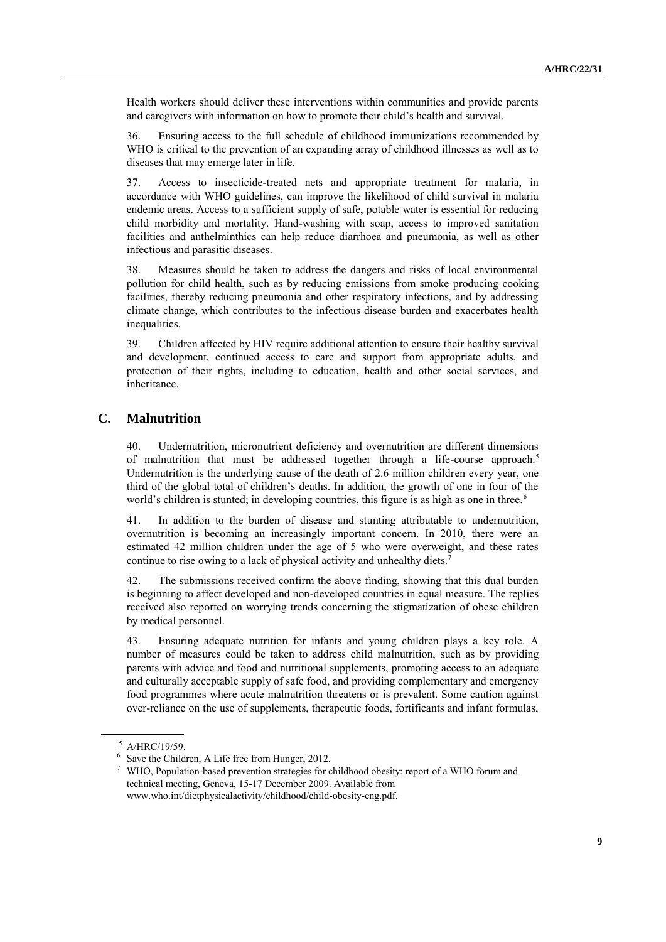Health workers should deliver these interventions within communities and provide parents and caregivers with information on how to promote their child's health and survival.

36. Ensuring access to the full schedule of childhood immunizations recommended by WHO is critical to the prevention of an expanding array of childhood illnesses as well as to diseases that may emerge later in life.

37. Access to insecticide-treated nets and appropriate treatment for malaria, in accordance with WHO guidelines, can improve the likelihood of child survival in malaria endemic areas. Access to a sufficient supply of safe, potable water is essential for reducing child morbidity and mortality. Hand-washing with soap, access to improved sanitation facilities and anthelminthics can help reduce diarrhoea and pneumonia, as well as other infectious and parasitic diseases.

38. Measures should be taken to address the dangers and risks of local environmental pollution for child health, such as by reducing emissions from smoke producing cooking facilities, thereby reducing pneumonia and other respiratory infections, and by addressing climate change, which contributes to the infectious disease burden and exacerbates health inequalities.

39. Children affected by HIV require additional attention to ensure their healthy survival and development, continued access to care and support from appropriate adults, and protection of their rights, including to education, health and other social services, and inheritance.

### **C. Malnutrition**

40. Undernutrition, micronutrient deficiency and overnutrition are different dimensions of malnutrition that must be addressed together through a life-course approach.<sup>5</sup> Undernutrition is the underlying cause of the death of 2.6 million children every year, one third of the global total of children's deaths. In addition, the growth of one in four of the world's children is stunted; in developing countries, this figure is as high as one in three.<sup>6</sup>

41. In addition to the burden of disease and stunting attributable to undernutrition, overnutrition is becoming an increasingly important concern. In 2010, there were an estimated 42 million children under the age of 5 who were overweight, and these rates continue to rise owing to a lack of physical activity and unhealthy diets.<sup>7</sup>

42. The submissions received confirm the above finding, showing that this dual burden is beginning to affect developed and non-developed countries in equal measure. The replies received also reported on worrying trends concerning the stigmatization of obese children by medical personnel.

43. Ensuring adequate nutrition for infants and young children plays a key role. A number of measures could be taken to address child malnutrition, such as by providing parents with advice and food and nutritional supplements, promoting access to an adequate and culturally acceptable supply of safe food, and providing complementary and emergency food programmes where acute malnutrition threatens or is prevalent. Some caution against over-reliance on the use of supplements, therapeutic foods, fortificants and infant formulas,

<sup>5</sup> A/HRC/19/59.

<sup>&</sup>lt;sup>6</sup> Save the Children, A Life free from Hunger, 2012.

<sup>7</sup> WHO, Population-based prevention strategies for childhood obesity: report of a WHO forum and technical meeting, Geneva, 15-17 December 2009. Available from www.who.int/dietphysicalactivity/childhood/child-obesity-eng.pdf.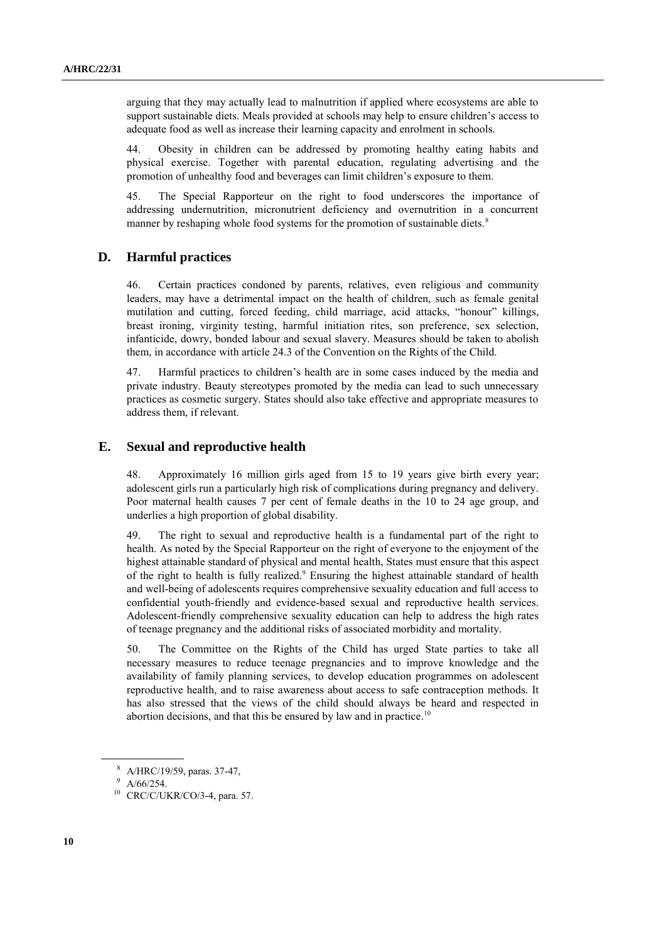arguing that they may actually lead to malnutrition if applied where ecosystems are able to support sustainable diets. Meals provided at schools may help to ensure children's access to adequate food as well as increase their learning capacity and enrolment in schools.

44. Obesity in children can be addressed by promoting healthy eating habits and physical exercise. Together with parental education, regulating advertising and the promotion of unhealthy food and beverages can limit children's exposure to them.

45. The Special Rapporteur on the right to food underscores the importance of addressing undernutrition, micronutrient deficiency and overnutrition in a concurrent manner by reshaping whole food systems for the promotion of sustainable diets.<sup>8</sup>

### **D. Harmful practices**

46. Certain practices condoned by parents, relatives, even religious and community leaders, may have a detrimental impact on the health of children, such as female genital mutilation and cutting, forced feeding, child marriage, acid attacks, "honour" killings, breast ironing, virginity testing, harmful initiation rites, son preference, sex selection, infanticide, dowry, bonded labour and sexual slavery. Measures should be taken to abolish them, in accordance with article 24.3 of the Convention on the Rights of the Child.

47. Harmful practices to children's health are in some cases induced by the media and private industry. Beauty stereotypes promoted by the media can lead to such unnecessary practices as cosmetic surgery. States should also take effective and appropriate measures to address them, if relevant.

#### **E. Sexual and reproductive health**

48. Approximately 16 million girls aged from 15 to 19 years give birth every year; adolescent girls run a particularly high risk of complications during pregnancy and delivery. Poor maternal health causes 7 per cent of female deaths in the 10 to 24 age group, and underlies a high proportion of global disability.

49. The right to sexual and reproductive health is a fundamental part of the right to health. As noted by the Special Rapporteur on the right of everyone to the enjoyment of the highest attainable standard of physical and mental health, States must ensure that this aspect of the right to health is fully realized.<sup>9</sup> Ensuring the highest attainable standard of health and well-being of adolescents requires comprehensive sexuality education and full access to confidential youth-friendly and evidence-based sexual and reproductive health services. Adolescent-friendly comprehensive sexuality education can help to address the high rates of teenage pregnancy and the additional risks of associated morbidity and mortality.

50. The Committee on the Rights of the Child has urged State parties to take all necessary measures to reduce teenage pregnancies and to improve knowledge and the availability of family planning services, to develop education programmes on adolescent reproductive health, and to raise awareness about access to safe contraception methods. It has also stressed that the views of the child should always be heard and respected in abortion decisions, and that this be ensured by law and in practice.<sup>10</sup>

<sup>8</sup> A/HRC/19/59, paras. 37-47,

 $9$  A/66/254.

<sup>10</sup> CRC/C/UKR/CO/3-4, para. 57.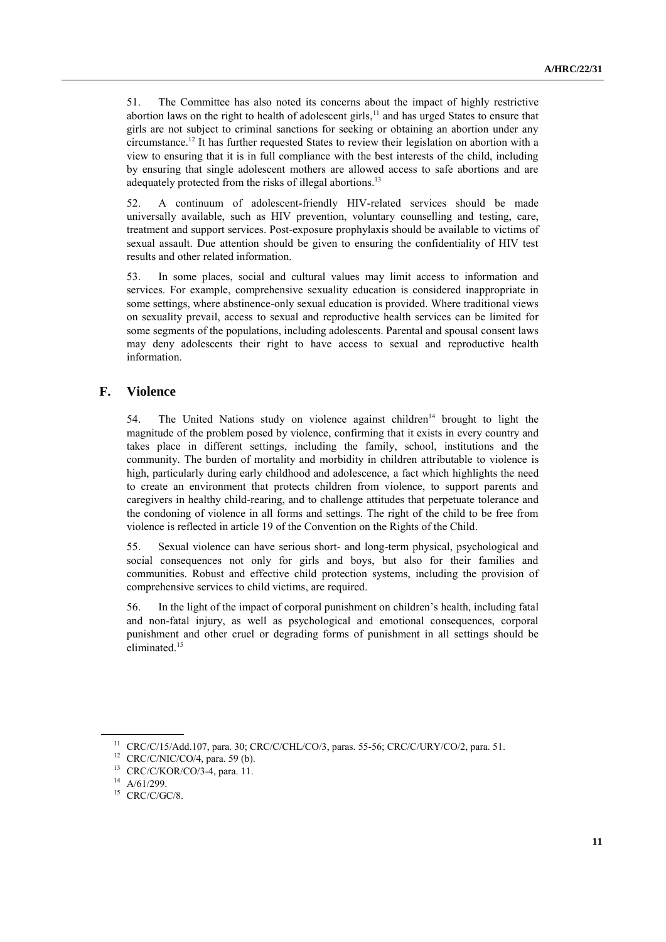51. The Committee has also noted its concerns about the impact of highly restrictive abortion laws on the right to health of adolescent girls,<sup>11</sup> and has urged States to ensure that girls are not subject to criminal sanctions for seeking or obtaining an abortion under any circumstance.<sup>12</sup> It has further requested States to review their legislation on abortion with a view to ensuring that it is in full compliance with the best interests of the child, including by ensuring that single adolescent mothers are allowed access to safe abortions and are adequately protected from the risks of illegal abortions.<sup>13</sup>

52. A continuum of adolescent-friendly HIV-related services should be made universally available, such as HIV prevention, voluntary counselling and testing, care, treatment and support services. Post-exposure prophylaxis should be available to victims of sexual assault. Due attention should be given to ensuring the confidentiality of HIV test results and other related information.

53. In some places, social and cultural values may limit access to information and services. For example, comprehensive sexuality education is considered inappropriate in some settings, where abstinence-only sexual education is provided. Where traditional views on sexuality prevail, access to sexual and reproductive health services can be limited for some segments of the populations, including adolescents. Parental and spousal consent laws may deny adolescents their right to have access to sexual and reproductive health information.

### **F. Violence**

54. The United Nations study on violence against children<sup>14</sup> brought to light the magnitude of the problem posed by violence, confirming that it exists in every country and takes place in different settings, including the family, school, institutions and the community. The burden of mortality and morbidity in children attributable to violence is high, particularly during early childhood and adolescence, a fact which highlights the need to create an environment that protects children from violence, to support parents and caregivers in healthy child-rearing, and to challenge attitudes that perpetuate tolerance and the condoning of violence in all forms and settings. The right of the child to be free from violence is reflected in article 19 of the Convention on the Rights of the Child.

55. Sexual violence can have serious short- and long-term physical, psychological and social consequences not only for girls and boys, but also for their families and communities. Robust and effective child protection systems, including the provision of comprehensive services to child victims, are required.

56. In the light of the impact of corporal punishment on children's health, including fatal and non-fatal injury, as well as psychological and emotional consequences, corporal punishment and other cruel or degrading forms of punishment in all settings should be eliminated. 15

<sup>11</sup> CRC/C/15/Add.107, para. 30; CRC/C/CHL/CO/3, paras. 55-56; CRC/C/URY/CO/2, para. 51.

 $12$  CRC/C/NIC/CO/4, para. 59 (b).

<sup>13</sup> CRC/C/KOR/CO/3-4, para. 11.

<sup>14</sup> A/61/299.

 $15$  CRC/C/GC/8.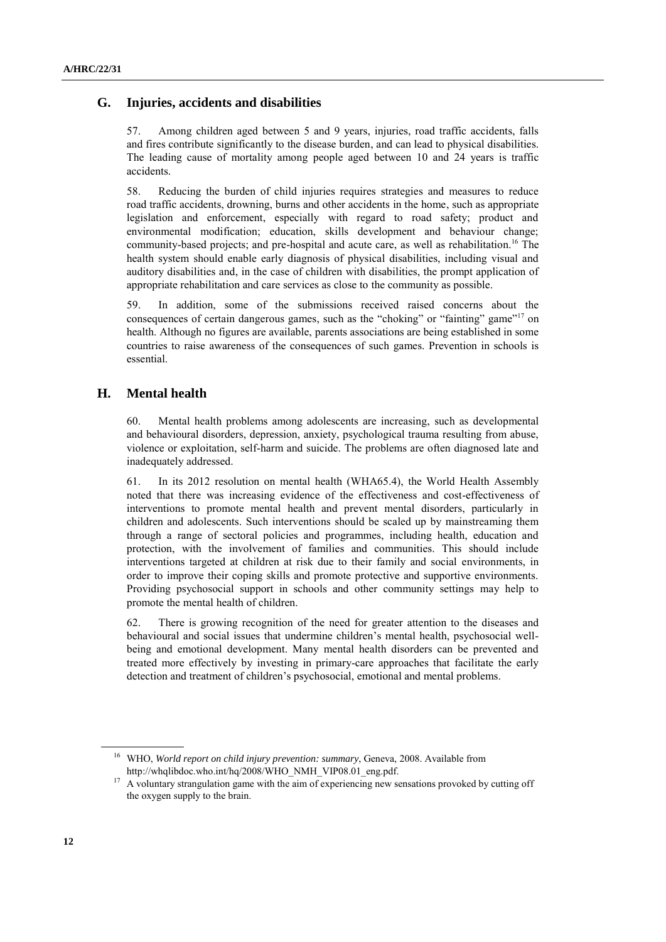#### **G. Injuries, accidents and disabilities**

57. Among children aged between 5 and 9 years, injuries, road traffic accidents, falls and fires contribute significantly to the disease burden, and can lead to physical disabilities. The leading cause of mortality among people aged between 10 and 24 years is traffic accidents.

58. Reducing the burden of child injuries requires strategies and measures to reduce road traffic accidents, drowning, burns and other accidents in the home, such as appropriate legislation and enforcement, especially with regard to road safety; product and environmental modification; education, skills development and behaviour change; community-based projects; and pre-hospital and acute care, as well as rehabilitation.<sup>16</sup> The health system should enable early diagnosis of physical disabilities, including visual and auditory disabilities and, in the case of children with disabilities, the prompt application of appropriate rehabilitation and care services as close to the community as possible.

59. In addition, some of the submissions received raised concerns about the consequences of certain dangerous games, such as the "choking" or "fainting" game"<sup>17</sup> on health. Although no figures are available, parents associations are being established in some countries to raise awareness of the consequences of such games. Prevention in schools is essential.

#### **H. Mental health**

60. Mental health problems among adolescents are increasing, such as developmental and behavioural disorders, depression, anxiety, psychological trauma resulting from abuse, violence or exploitation, self-harm and suicide. The problems are often diagnosed late and inadequately addressed.

61. In its 2012 resolution on mental health (WHA65.4), the World Health Assembly noted that there was increasing evidence of the effectiveness and cost-effectiveness of interventions to promote mental health and prevent mental disorders, particularly in children and adolescents. Such interventions should be scaled up by mainstreaming them through a range of sectoral policies and programmes, including health, education and protection, with the involvement of families and communities. This should include interventions targeted at children at risk due to their family and social environments, in order to improve their coping skills and promote protective and supportive environments. Providing psychosocial support in schools and other community settings may help to promote the mental health of children.

62. There is growing recognition of the need for greater attention to the diseases and behavioural and social issues that undermine children's mental health, psychosocial wellbeing and emotional development. Many mental health disorders can be prevented and treated more effectively by investing in primary-care approaches that facilitate the early detection and treatment of children's psychosocial, emotional and mental problems.

<sup>16</sup> WHO, *World report on child injury prevention: summary*, Geneva, 2008. Available from http://whqlibdoc.who.int/hq/2008/WHO\_NMH\_VIP08.01\_eng.pdf.

<sup>&</sup>lt;sup>17</sup> A voluntary strangulation game with the aim of experiencing new sensations provoked by cutting off the oxygen supply to the brain.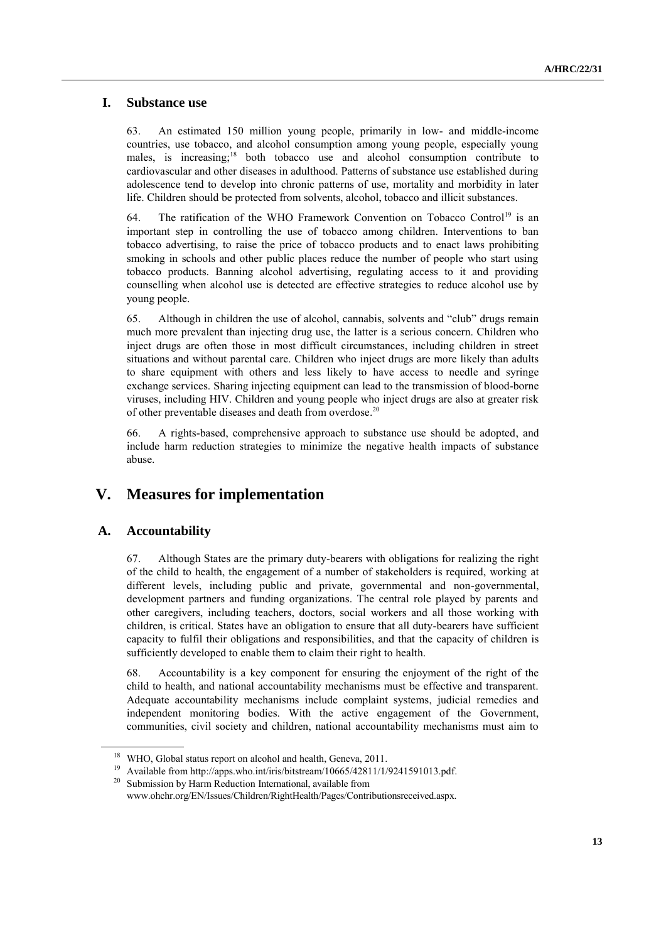### **I. Substance use**

63. An estimated 150 million young people, primarily in low- and middle-income countries, use tobacco, and alcohol consumption among young people, especially young males, is increasing; <sup>18</sup> both tobacco use and alcohol consumption contribute to cardiovascular and other diseases in adulthood. Patterns of substance use established during adolescence tend to develop into chronic patterns of use, mortality and morbidity in later life. Children should be protected from solvents, alcohol, tobacco and illicit substances.

64. The ratification of the WHO Framework Convention on Tobacco Control<sup>19</sup> is an important step in controlling the use of tobacco among children. Interventions to ban tobacco advertising, to raise the price of tobacco products and to enact laws prohibiting smoking in schools and other public places reduce the number of people who start using tobacco products. Banning alcohol advertising, regulating access to it and providing counselling when alcohol use is detected are effective strategies to reduce alcohol use by young people.

65. Although in children the use of alcohol, cannabis, solvents and "club" drugs remain much more prevalent than injecting drug use, the latter is a serious concern. Children who inject drugs are often those in most difficult circumstances, including children in street situations and without parental care. Children who inject drugs are more likely than adults to share equipment with others and less likely to have access to needle and syringe exchange services. Sharing injecting equipment can lead to the transmission of blood-borne viruses, including HIV. Children and young people who inject drugs are also at greater risk of other preventable diseases and death from overdose.<sup>20</sup>

66. A rights-based, comprehensive approach to substance use should be adopted, and include harm reduction strategies to minimize the negative health impacts of substance abuse.

## **V. Measures for implementation**

#### **A. Accountability**

67. Although States are the primary duty-bearers with obligations for realizing the right of the child to health, the engagement of a number of stakeholders is required, working at different levels, including public and private, governmental and non-governmental, development partners and funding organizations. The central role played by parents and other caregivers, including teachers, doctors, social workers and all those working with children, is critical. States have an obligation to ensure that all duty-bearers have sufficient capacity to fulfil their obligations and responsibilities, and that the capacity of children is sufficiently developed to enable them to claim their right to health.

68. Accountability is a key component for ensuring the enjoyment of the right of the child to health, and national accountability mechanisms must be effective and transparent. Adequate accountability mechanisms include complaint systems, judicial remedies and independent monitoring bodies. With the active engagement of the Government, communities, civil society and children, national accountability mechanisms must aim to

<sup>&</sup>lt;sup>18</sup> WHO, Global status report on alcohol and health, Geneva, 2011.

<sup>&</sup>lt;sup>19</sup> Available from http://apps.who.int/iris/bitstream/10665/42811/1/9241591013.pdf.

<sup>&</sup>lt;sup>20</sup> Submission by Harm Reduction International, available from www.ohchr.org/EN/Issues/Children/RightHealth/Pages/Contributionsreceived.aspx.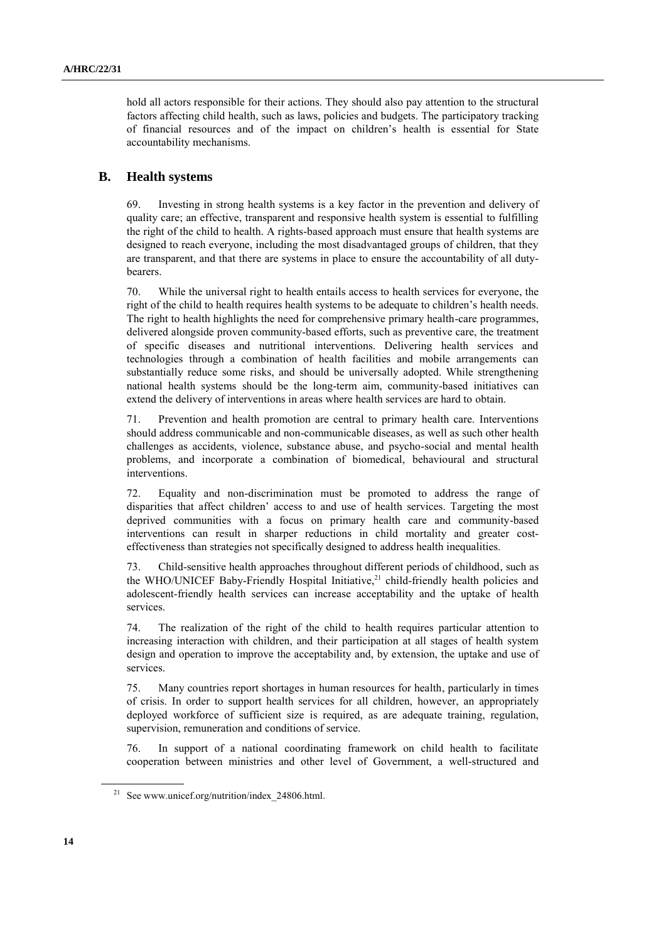hold all actors responsible for their actions. They should also pay attention to the structural factors affecting child health, such as laws, policies and budgets. The participatory tracking of financial resources and of the impact on children's health is essential for State accountability mechanisms.

#### **B. Health systems**

69. Investing in strong health systems is a key factor in the prevention and delivery of quality care; an effective, transparent and responsive health system is essential to fulfilling the right of the child to health. A rights-based approach must ensure that health systems are designed to reach everyone, including the most disadvantaged groups of children, that they are transparent, and that there are systems in place to ensure the accountability of all dutybearers.

70. While the universal right to health entails access to health services for everyone, the right of the child to health requires health systems to be adequate to children's health needs. The right to health highlights the need for comprehensive primary health-care programmes, delivered alongside proven community-based efforts, such as preventive care, the treatment of specific diseases and nutritional interventions. Delivering health services and technologies through a combination of health facilities and mobile arrangements can substantially reduce some risks, and should be universally adopted. While strengthening national health systems should be the long-term aim, community-based initiatives can extend the delivery of interventions in areas where health services are hard to obtain.

71. Prevention and health promotion are central to primary health care. Interventions should address communicable and non-communicable diseases, as well as such other health challenges as accidents, violence, substance abuse, and psycho-social and mental health problems, and incorporate a combination of biomedical, behavioural and structural interventions.

72. Equality and non-discrimination must be promoted to address the range of disparities that affect children' access to and use of health services. Targeting the most deprived communities with a focus on primary health care and community-based interventions can result in sharper reductions in child mortality and greater costeffectiveness than strategies not specifically designed to address health inequalities.

73. Child-sensitive health approaches throughout different periods of childhood, such as the WHO/UNICEF Baby-Friendly Hospital Initiative,<sup>21</sup> child-friendly health policies and adolescent-friendly health services can increase acceptability and the uptake of health services.

74. The realization of the right of the child to health requires particular attention to increasing interaction with children, and their participation at all stages of health system design and operation to improve the acceptability and, by extension, the uptake and use of services.

75. Many countries report shortages in human resources for health, particularly in times of crisis. In order to support health services for all children, however, an appropriately deployed workforce of sufficient size is required, as are adequate training, regulation, supervision, remuneration and conditions of service.

76. In support of a national coordinating framework on child health to facilitate cooperation between ministries and other level of Government, a well-structured and

<sup>&</sup>lt;sup>21</sup> See www.unicef.org/nutrition/index  $24806$ .html.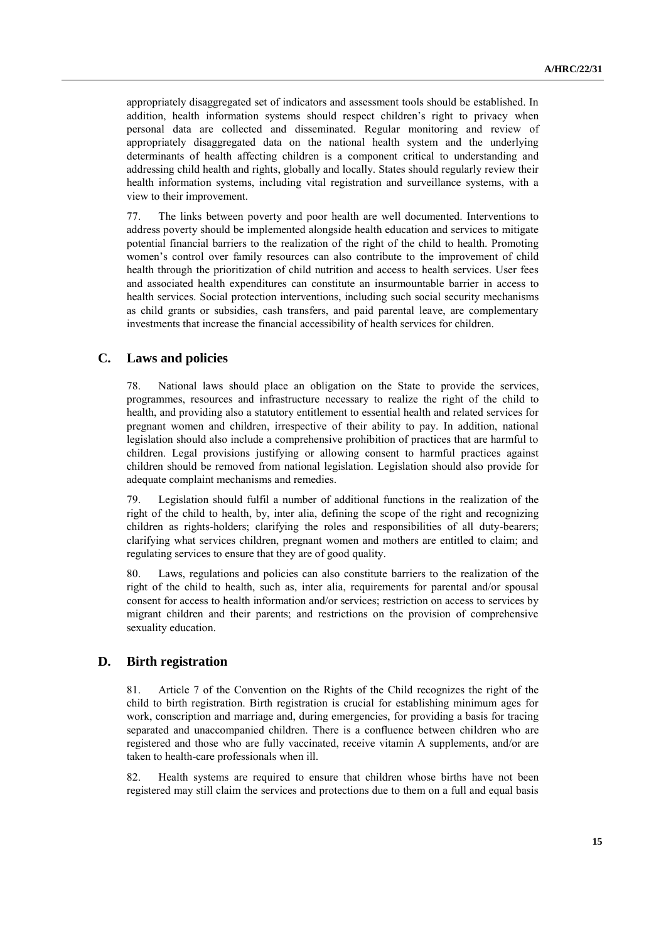appropriately disaggregated set of indicators and assessment tools should be established. In addition, health information systems should respect children's right to privacy when personal data are collected and disseminated. Regular monitoring and review of appropriately disaggregated data on the national health system and the underlying determinants of health affecting children is a component critical to understanding and addressing child health and rights, globally and locally. States should regularly review their health information systems, including vital registration and surveillance systems, with a view to their improvement.

77. The links between poverty and poor health are well documented. Interventions to address poverty should be implemented alongside health education and services to mitigate potential financial barriers to the realization of the right of the child to health. Promoting women's control over family resources can also contribute to the improvement of child health through the prioritization of child nutrition and access to health services. User fees and associated health expenditures can constitute an insurmountable barrier in access to health services. Social protection interventions, including such social security mechanisms as child grants or subsidies, cash transfers, and paid parental leave, are complementary investments that increase the financial accessibility of health services for children.

#### **C. Laws and policies**

78. National laws should place an obligation on the State to provide the services, programmes, resources and infrastructure necessary to realize the right of the child to health, and providing also a statutory entitlement to essential health and related services for pregnant women and children, irrespective of their ability to pay. In addition, national legislation should also include a comprehensive prohibition of practices that are harmful to children. Legal provisions justifying or allowing consent to harmful practices against children should be removed from national legislation. Legislation should also provide for adequate complaint mechanisms and remedies.

79. Legislation should fulfil a number of additional functions in the realization of the right of the child to health, by, inter alia, defining the scope of the right and recognizing children as rights-holders; clarifying the roles and responsibilities of all duty-bearers; clarifying what services children, pregnant women and mothers are entitled to claim; and regulating services to ensure that they are of good quality.

80. Laws, regulations and policies can also constitute barriers to the realization of the right of the child to health, such as, inter alia, requirements for parental and/or spousal consent for access to health information and/or services; restriction on access to services by migrant children and their parents; and restrictions on the provision of comprehensive sexuality education.

### **D. Birth registration**

81. Article 7 of the Convention on the Rights of the Child recognizes the right of the child to birth registration. Birth registration is crucial for establishing minimum ages for work, conscription and marriage and, during emergencies, for providing a basis for tracing separated and unaccompanied children. There is a confluence between children who are registered and those who are fully vaccinated, receive vitamin A supplements, and/or are taken to health-care professionals when ill.

82. Health systems are required to ensure that children whose births have not been registered may still claim the services and protections due to them on a full and equal basis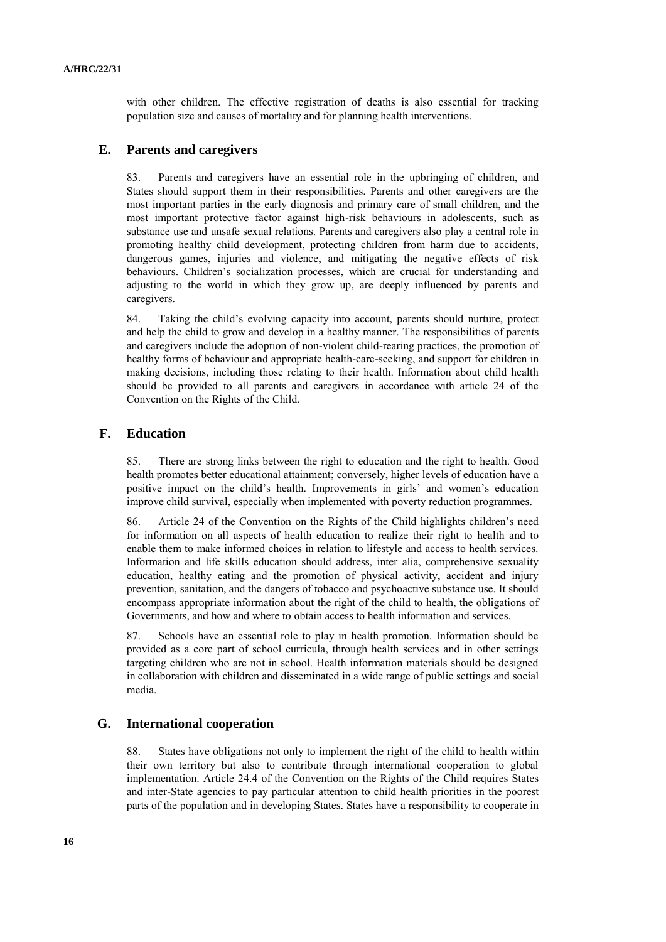with other children. The effective registration of deaths is also essential for tracking population size and causes of mortality and for planning health interventions.

#### **E. Parents and caregivers**

83. Parents and caregivers have an essential role in the upbringing of children, and States should support them in their responsibilities. Parents and other caregivers are the most important parties in the early diagnosis and primary care of small children, and the most important protective factor against high-risk behaviours in adolescents, such as substance use and unsafe sexual relations. Parents and caregivers also play a central role in promoting healthy child development, protecting children from harm due to accidents, dangerous games, injuries and violence, and mitigating the negative effects of risk behaviours. Children's socialization processes, which are crucial for understanding and adjusting to the world in which they grow up, are deeply influenced by parents and caregivers.

84. Taking the child's evolving capacity into account, parents should nurture, protect and help the child to grow and develop in a healthy manner. The responsibilities of parents and caregivers include the adoption of non-violent child-rearing practices, the promotion of healthy forms of behaviour and appropriate health-care-seeking, and support for children in making decisions, including those relating to their health. Information about child health should be provided to all parents and caregivers in accordance with article 24 of the Convention on the Rights of the Child.

#### **F. Education**

85. There are strong links between the right to education and the right to health. Good health promotes better educational attainment; conversely, higher levels of education have a positive impact on the child's health. Improvements in girls' and women's education improve child survival, especially when implemented with poverty reduction programmes.

86. Article 24 of the Convention on the Rights of the Child highlights children's need for information on all aspects of health education to realize their right to health and to enable them to make informed choices in relation to lifestyle and access to health services. Information and life skills education should address, inter alia, comprehensive sexuality education, healthy eating and the promotion of physical activity, accident and injury prevention, sanitation, and the dangers of tobacco and psychoactive substance use. It should encompass appropriate information about the right of the child to health, the obligations of Governments, and how and where to obtain access to health information and services.

87. Schools have an essential role to play in health promotion. Information should be provided as a core part of school curricula, through health services and in other settings targeting children who are not in school. Health information materials should be designed in collaboration with children and disseminated in a wide range of public settings and social media.

### **G. International cooperation**

88. States have obligations not only to implement the right of the child to health within their own territory but also to contribute through international cooperation to global implementation. Article 24.4 of the Convention on the Rights of the Child requires States and inter-State agencies to pay particular attention to child health priorities in the poorest parts of the population and in developing States. States have a responsibility to cooperate in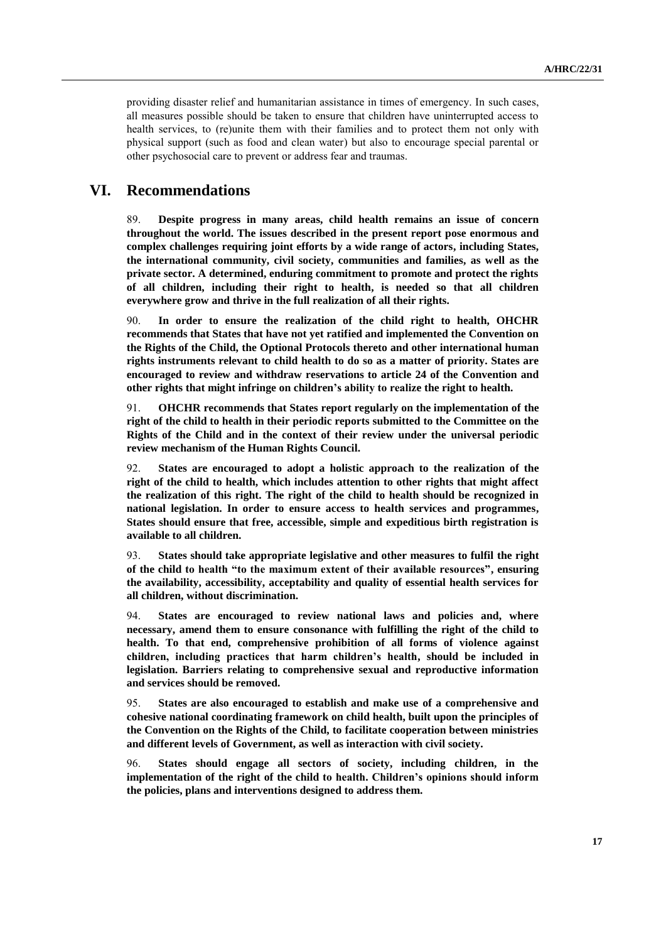providing disaster relief and humanitarian assistance in times of emergency. In such cases, all measures possible should be taken to ensure that children have uninterrupted access to health services, to (re)unite them with their families and to protect them not only with physical support (such as food and clean water) but also to encourage special parental or other psychosocial care to prevent or address fear and traumas.

### **VI. Recommendations**

89. **Despite progress in many areas, child health remains an issue of concern throughout the world. The issues described in the present report pose enormous and complex challenges requiring joint efforts by a wide range of actors, including States, the international community, civil society, communities and families, as well as the private sector. A determined, enduring commitment to promote and protect the rights of all children, including their right to health, is needed so that all children everywhere grow and thrive in the full realization of all their rights.**

90. **In order to ensure the realization of the child right to health, OHCHR recommends that States that have not yet ratified and implemented the Convention on the Rights of the Child, the Optional Protocols thereto and other international human rights instruments relevant to child health to do so as a matter of priority. States are encouraged to review and withdraw reservations to article 24 of the Convention and other rights that might infringe on children's ability to realize the right to health.** 

91. **OHCHR recommends that States report regularly on the implementation of the right of the child to health in their periodic reports submitted to the Committee on the Rights of the Child and in the context of their review under the universal periodic review mechanism of the Human Rights Council.**

92. **States are encouraged to adopt a holistic approach to the realization of the right of the child to health, which includes attention to other rights that might affect the realization of this right. The right of the child to health should be recognized in national legislation. In order to ensure access to health services and programmes, States should ensure that free, accessible, simple and expeditious birth registration is available to all children.**

93. **States should take appropriate legislative and other measures to fulfil the right of the child to health "to the maximum extent of their available resources", ensuring the availability, accessibility, acceptability and quality of essential health services for all children, without discrimination.** 

94. **States are encouraged to review national laws and policies and, where necessary, amend them to ensure consonance with fulfilling the right of the child to health. To that end, comprehensive prohibition of all forms of violence against children, including practices that harm children's health, should be included in legislation. Barriers relating to comprehensive sexual and reproductive information and services should be removed.** 

95. **States are also encouraged to establish and make use of a comprehensive and cohesive national coordinating framework on child health, built upon the principles of the Convention on the Rights of the Child, to facilitate cooperation between ministries and different levels of Government, as well as interaction with civil society.** 

96. **States should engage all sectors of society, including children, in the implementation of the right of the child to health. Children's opinions should inform the policies, plans and interventions designed to address them.**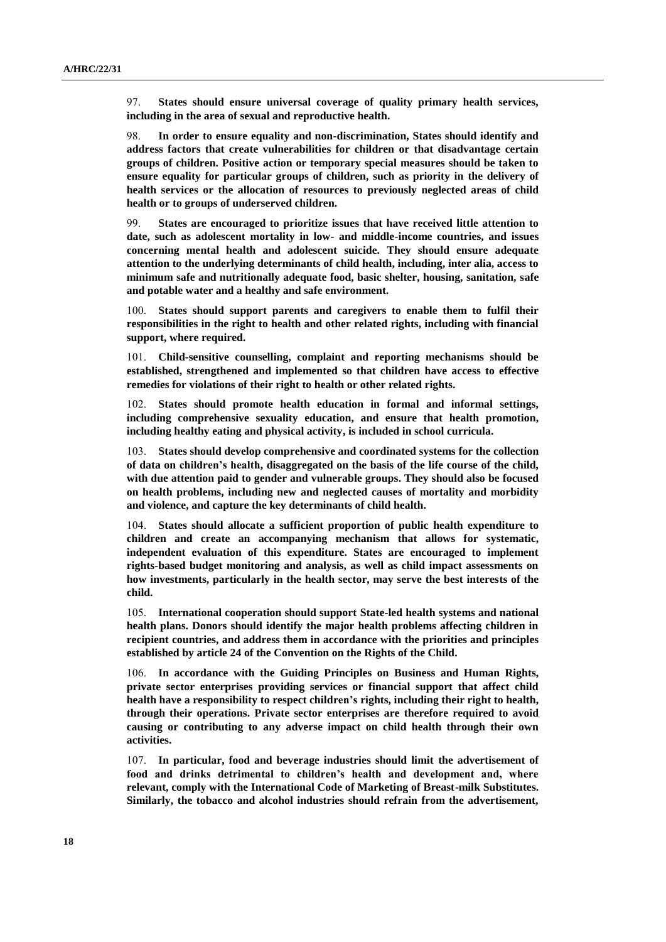97. **States should ensure universal coverage of quality primary health services, including in the area of sexual and reproductive health.** 

98. **In order to ensure equality and non-discrimination, States should identify and address factors that create vulnerabilities for children or that disadvantage certain groups of children. Positive action or temporary special measures should be taken to ensure equality for particular groups of children, such as priority in the delivery of health services or the allocation of resources to previously neglected areas of child health or to groups of underserved children.** 

99. **States are encouraged to prioritize issues that have received little attention to date, such as adolescent mortality in low- and middle-income countries, and issues concerning mental health and adolescent suicide. They should ensure adequate attention to the underlying determinants of child health, including, inter alia, access to minimum safe and nutritionally adequate food, basic shelter, housing, sanitation, safe and potable water and a healthy and safe environment.**

100. **States should support parents and caregivers to enable them to fulfil their responsibilities in the right to health and other related rights, including with financial support, where required.** 

101. **Child-sensitive counselling, complaint and reporting mechanisms should be established, strengthened and implemented so that children have access to effective remedies for violations of their right to health or other related rights.** 

102. **States should promote health education in formal and informal settings, including comprehensive sexuality education, and ensure that health promotion, including healthy eating and physical activity, is included in school curricula.**

103. **States should develop comprehensive and coordinated systems for the collection of data on children's health, disaggregated on the basis of the life course of the child, with due attention paid to gender and vulnerable groups. They should also be focused on health problems, including new and neglected causes of mortality and morbidity and violence, and capture the key determinants of child health.** 

104. **States should allocate a sufficient proportion of public health expenditure to children and create an accompanying mechanism that allows for systematic, independent evaluation of this expenditure. States are encouraged to implement rights-based budget monitoring and analysis, as well as child impact assessments on how investments, particularly in the health sector, may serve the best interests of the child.** 

105. **International cooperation should support State-led health systems and national health plans. Donors should identify the major health problems affecting children in recipient countries, and address them in accordance with the priorities and principles established by article 24 of the Convention on the Rights of the Child.** 

106. **In accordance with the Guiding Principles on Business and Human Rights, private sector enterprises providing services or financial support that affect child health have a responsibility to respect children's rights, including their right to health, through their operations. Private sector enterprises are therefore required to avoid causing or contributing to any adverse impact on child health through their own activities.** 

107. **In particular, food and beverage industries should limit the advertisement of food and drinks detrimental to children's health and development and, where relevant, comply with the International Code of Marketing of Breast-milk Substitutes. Similarly, the tobacco and alcohol industries should refrain from the advertisement,**